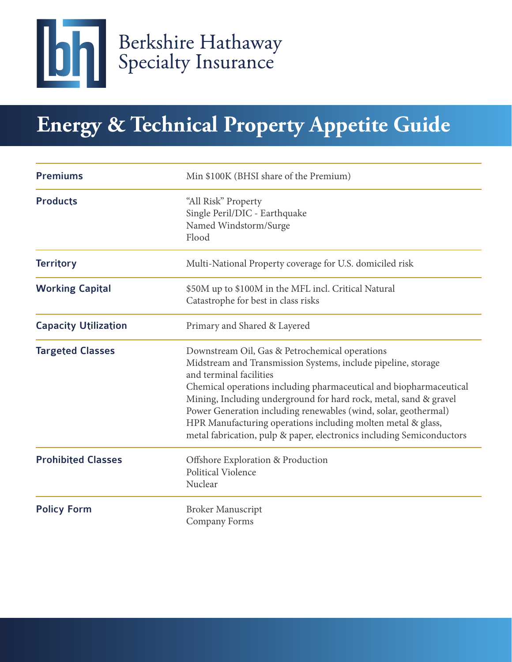

# **Energy & Technical Property Appetite Guide**

| <b>Premiums</b>             | Min \$100K (BHSI share of the Premium)                                                                                                                                                                                                                                                                                                                                                                                                                                                            |
|-----------------------------|---------------------------------------------------------------------------------------------------------------------------------------------------------------------------------------------------------------------------------------------------------------------------------------------------------------------------------------------------------------------------------------------------------------------------------------------------------------------------------------------------|
| <b>Products</b>             | "All Risk" Property<br>Single Peril/DIC - Earthquake<br>Named Windstorm/Surge<br>Flood                                                                                                                                                                                                                                                                                                                                                                                                            |
| <b>Territory</b>            | Multi-National Property coverage for U.S. domiciled risk                                                                                                                                                                                                                                                                                                                                                                                                                                          |
| <b>Working Capital</b>      | \$50M up to \$100M in the MFL incl. Critical Natural<br>Catastrophe for best in class risks                                                                                                                                                                                                                                                                                                                                                                                                       |
| <b>Capacity Utilization</b> | Primary and Shared & Layered                                                                                                                                                                                                                                                                                                                                                                                                                                                                      |
| <b>Targeted Classes</b>     | Downstream Oil, Gas & Petrochemical operations<br>Midstream and Transmission Systems, include pipeline, storage<br>and terminal facilities<br>Chemical operations including pharmaceutical and biopharmaceutical<br>Mining, Including underground for hard rock, metal, sand & gravel<br>Power Generation including renewables (wind, solar, geothermal)<br>HPR Manufacturing operations including molten metal & glass,<br>metal fabrication, pulp & paper, electronics including Semiconductors |
| <b>Prohibited Classes</b>   | Offshore Exploration & Production<br>Political Violence<br>Nuclear                                                                                                                                                                                                                                                                                                                                                                                                                                |
| <b>Policy Form</b>          | <b>Broker Manuscript</b><br>Company Forms                                                                                                                                                                                                                                                                                                                                                                                                                                                         |